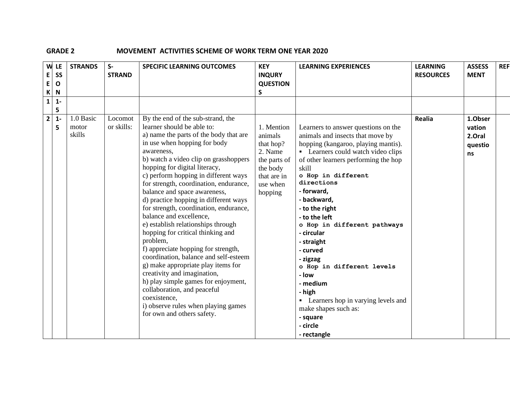## **GRADE 2 MOVEMENT ACTIVITIES SCHEME OF WORK TERM ONE YEAR 2020**

| W<br>E.<br>E<br>$\mathsf{K}$ | LE<br>SS<br>$\mathbf{o}$<br>$\mathbf N$ | <b>STRANDS</b>               | $S-$<br><b>STRAND</b> | <b>SPECIFIC LEARNING OUTCOMES</b>                                                                                                                                                                                                                                                                                                                                                                                                                                                                                                                                                                                                                                                                                                                                                                                                                                        | <b>KEY</b><br><b>INQURY</b><br><b>QUESTION</b><br>S                                                             | <b>LEARNING EXPERIENCES</b>                                                                                                                                                                                                                                                                                                                                                                                                                                                                                                                                     | <b>LEARNING</b><br><b>RESOURCES</b> | <b>ASSESS</b><br><b>MENT</b>                 | <b>REF</b> |
|------------------------------|-----------------------------------------|------------------------------|-----------------------|--------------------------------------------------------------------------------------------------------------------------------------------------------------------------------------------------------------------------------------------------------------------------------------------------------------------------------------------------------------------------------------------------------------------------------------------------------------------------------------------------------------------------------------------------------------------------------------------------------------------------------------------------------------------------------------------------------------------------------------------------------------------------------------------------------------------------------------------------------------------------|-----------------------------------------------------------------------------------------------------------------|-----------------------------------------------------------------------------------------------------------------------------------------------------------------------------------------------------------------------------------------------------------------------------------------------------------------------------------------------------------------------------------------------------------------------------------------------------------------------------------------------------------------------------------------------------------------|-------------------------------------|----------------------------------------------|------------|
| $1\vert$                     | $1 -$<br>5                              |                              |                       |                                                                                                                                                                                                                                                                                                                                                                                                                                                                                                                                                                                                                                                                                                                                                                                                                                                                          |                                                                                                                 |                                                                                                                                                                                                                                                                                                                                                                                                                                                                                                                                                                 |                                     |                                              |            |
| 2 <sup>1</sup>               | $1 -$<br>5                              | 1.0 Basic<br>motor<br>skills | Locomot<br>or skills: | By the end of the sub-strand, the<br>learner should be able to:<br>a) name the parts of the body that are<br>in use when hopping for body<br>awareness,<br>b) watch a video clip on grasshoppers<br>hopping for digital literacy,<br>c) perform hopping in different ways<br>for strength, coordination, endurance,<br>balance and space awareness,<br>d) practice hopping in different ways<br>for strength, coordination, endurance,<br>balance and excellence,<br>e) establish relationships through<br>hopping for critical thinking and<br>problem,<br>f) appreciate hopping for strength,<br>coordination, balance and self-esteem<br>g) make appropriate play items for<br>creativity and imagination,<br>h) play simple games for enjoyment,<br>collaboration, and peaceful<br>coexistence,<br>i) observe rules when playing games<br>for own and others safety. | 1. Mention<br>animals<br>that hop?<br>2. Name<br>the parts of<br>the body<br>that are in<br>use when<br>hopping | Learners to answer questions on the<br>animals and insects that move by<br>hopping (kangaroo, playing mantis).<br>• Learners could watch video clips<br>of other learners performing the hop<br>skill<br>o Hop in different<br>directions<br>- forward,<br>- backward,<br>- to the right<br>- to the left<br>o Hop in different pathways<br>- circular<br>- straight<br>- curved<br>- zigzag<br>o Hop in different levels<br>- Iow<br>- medium<br>- high<br>• Learners hop in varying levels and<br>make shapes such as:<br>- square<br>- circle<br>- rectangle | Realia                              | 1.Obser<br>vation<br>2.Oral<br>questio<br>ns |            |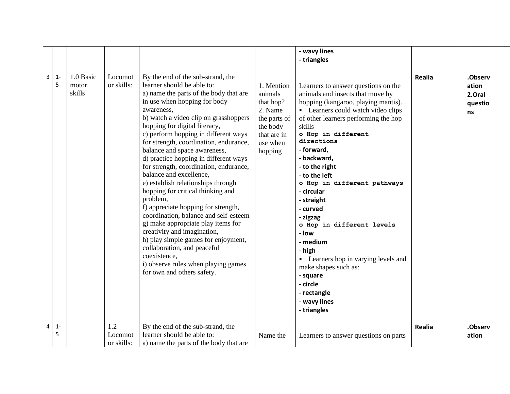|                         |            |                              |                              |                                                                                                                                                                                                                                                                                                                                                                                                                                                                                                                                                                                                                                                                                                                                                                                                                                                                          |                                                                                                                 | - wavy lines                                                                                                                                                                                                                                                                                                                                                                                                                                                                                                                                                                                    |               |                                             |  |
|-------------------------|------------|------------------------------|------------------------------|--------------------------------------------------------------------------------------------------------------------------------------------------------------------------------------------------------------------------------------------------------------------------------------------------------------------------------------------------------------------------------------------------------------------------------------------------------------------------------------------------------------------------------------------------------------------------------------------------------------------------------------------------------------------------------------------------------------------------------------------------------------------------------------------------------------------------------------------------------------------------|-----------------------------------------------------------------------------------------------------------------|-------------------------------------------------------------------------------------------------------------------------------------------------------------------------------------------------------------------------------------------------------------------------------------------------------------------------------------------------------------------------------------------------------------------------------------------------------------------------------------------------------------------------------------------------------------------------------------------------|---------------|---------------------------------------------|--|
|                         |            |                              |                              |                                                                                                                                                                                                                                                                                                                                                                                                                                                                                                                                                                                                                                                                                                                                                                                                                                                                          |                                                                                                                 | - triangles                                                                                                                                                                                                                                                                                                                                                                                                                                                                                                                                                                                     |               |                                             |  |
|                         |            |                              |                              |                                                                                                                                                                                                                                                                                                                                                                                                                                                                                                                                                                                                                                                                                                                                                                                                                                                                          |                                                                                                                 |                                                                                                                                                                                                                                                                                                                                                                                                                                                                                                                                                                                                 |               |                                             |  |
| $\overline{\mathbf{3}}$ | $1 -$<br>5 | 1.0 Basic<br>motor<br>skills | Locomot<br>or skills:        | By the end of the sub-strand, the<br>learner should be able to:<br>a) name the parts of the body that are<br>in use when hopping for body<br>awareness,<br>b) watch a video clip on grasshoppers<br>hopping for digital literacy,<br>c) perform hopping in different ways<br>for strength, coordination, endurance,<br>balance and space awareness,<br>d) practice hopping in different ways<br>for strength, coordination, endurance,<br>balance and excellence,<br>e) establish relationships through<br>hopping for critical thinking and<br>problem,<br>f) appreciate hopping for strength,<br>coordination, balance and self-esteem<br>g) make appropriate play items for<br>creativity and imagination,<br>h) play simple games for enjoyment,<br>collaboration, and peaceful<br>coexistence,<br>i) observe rules when playing games<br>for own and others safety. | 1. Mention<br>animals<br>that hop?<br>2. Name<br>the parts of<br>the body<br>that are in<br>use when<br>hopping | Learners to answer questions on the<br>animals and insects that move by<br>hopping (kangaroo, playing mantis).<br>• Learners could watch video clips<br>of other learners performing the hop<br>skills<br>o Hop in different<br>directions<br>- forward,<br>- backward,<br>- to the right<br>- to the left<br>o Hop in different pathways<br>- circular<br>- straight<br>- curved<br>- zigzag<br>o Hop in different levels<br>- low<br>- medium<br>- high<br>• Learners hop in varying levels and<br>make shapes such as:<br>- square<br>- circle<br>- rectangle<br>- wavy lines<br>- triangles | Realia        | .Observ<br>ation<br>2.Oral<br>questio<br>ns |  |
| $\overline{4}$          | $1 -$<br>5 |                              | 1.2<br>Locomot<br>or skills: | By the end of the sub-strand, the<br>learner should be able to:<br>a) name the parts of the body that are                                                                                                                                                                                                                                                                                                                                                                                                                                                                                                                                                                                                                                                                                                                                                                | Name the                                                                                                        | Learners to answer questions on parts                                                                                                                                                                                                                                                                                                                                                                                                                                                                                                                                                           | <b>Realia</b> | .Observ<br>ation                            |  |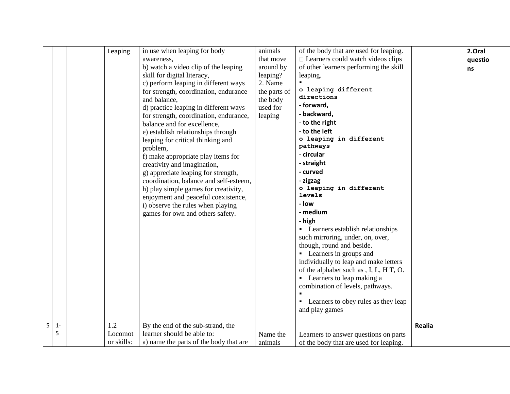| - straight<br>creativity and imagination,<br>- curved<br>g) appreciate leaping for strength,<br>coordination, balance and self-esteem,<br>- zigzag<br>o leaping in different<br>h) play simple games for creativity,<br>levels<br>enjoyment and peaceful coexistence,<br>- low<br>i) observe the rules when playing<br>- medium<br>games for own and others safety.<br>- high<br>• Learners establish relationships<br>such mirroring, under, on, over,<br>though, round and beside.<br>• Learners in groups and<br>individually to leap and make letters<br>of the alphabet such as , I, L, H T, O.<br>• Learners to leap making a<br>combination of levels, pathways.<br>• Learners to obey rules as they leap<br>and play games | 2.Oral<br>questio<br>ns |  |
|------------------------------------------------------------------------------------------------------------------------------------------------------------------------------------------------------------------------------------------------------------------------------------------------------------------------------------------------------------------------------------------------------------------------------------------------------------------------------------------------------------------------------------------------------------------------------------------------------------------------------------------------------------------------------------------------------------------------------------|-------------------------|--|
| 5<br>1.2<br>By the end of the sub-strand, the<br>$1 -$<br>5<br>learner should be able to:<br>Locomot<br>Name the<br>Learners to answer questions on parts<br>or skills:<br>a) name the parts of the body that are<br>of the body that are used for leaping.<br>animals                                                                                                                                                                                                                                                                                                                                                                                                                                                             | Realia                  |  |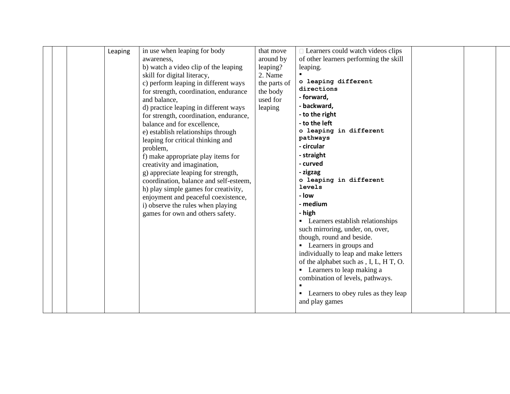| Leaping | in use when leaping for body<br>awareness,<br>b) watch a video clip of the leaping<br>skill for digital literacy,<br>c) perform leaping in different ways<br>for strength, coordination, endurance<br>and balance,<br>d) practice leaping in different ways<br>for strength, coordination, endurance,<br>balance and for excellence, | that move<br>around by<br>leaping?<br>2. Name<br>the parts of<br>the body<br>used for<br>leaping | $\Box$ Learners could watch videos clips<br>of other learners performing the skill<br>leaping.<br>o leaping different<br>directions<br>- forward,<br>- backward,<br>- to the right<br>- to the left                                                                                                                                                                                                                                          |  |  |
|---------|--------------------------------------------------------------------------------------------------------------------------------------------------------------------------------------------------------------------------------------------------------------------------------------------------------------------------------------|--------------------------------------------------------------------------------------------------|----------------------------------------------------------------------------------------------------------------------------------------------------------------------------------------------------------------------------------------------------------------------------------------------------------------------------------------------------------------------------------------------------------------------------------------------|--|--|
|         | creativity and imagination,<br>g) appreciate leaping for strength,<br>coordination, balance and self-esteem,<br>h) play simple games for creativity,<br>enjoyment and peaceful coexistence,<br>i) observe the rules when playing<br>games for own and others safety.                                                                 |                                                                                                  | - curved<br>- zigzag<br>o leaping in different<br>levels<br>- Iow<br>- medium<br>- high<br>• Learners establish relationships<br>such mirroring, under, on, over,<br>though, round and beside.<br>• Learners in groups and<br>individually to leap and make letters<br>of the alphabet such as , I, L, H T, O.<br>• Learners to leap making a<br>combination of levels, pathways.<br>• Learners to obey rules as they leap<br>and play games |  |  |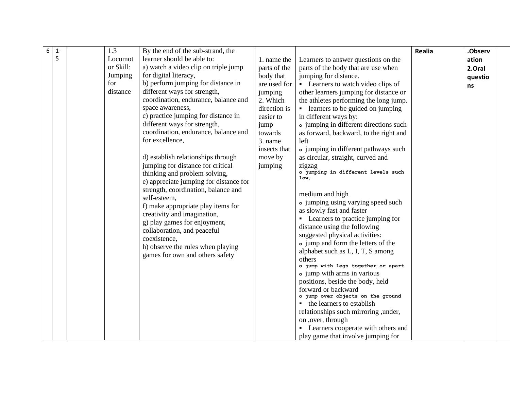| 6 | $1 -$ | 1.3       | By the end of the sub-strand, the      |              |                                                                  | <b>Realia</b> | .Observ |
|---|-------|-----------|----------------------------------------|--------------|------------------------------------------------------------------|---------------|---------|
|   | 5     | Locomot   | learner should be able to:             | 1. name the  | Learners to answer questions on the                              |               | ation   |
|   |       | or Skill: | a) watch a video clip on triple jump   | parts of the | parts of the body that are use when                              |               | 2.Oral  |
|   |       | Jumping   | for digital literacy,                  | body that    | jumping for distance.                                            |               | questio |
|   |       | for       | b) perform jumping for distance in     | are used for | • Learners to watch video clips of                               |               | ns      |
|   |       | distance  | different ways for strength,           | jumping      | other learners jumping for distance or                           |               |         |
|   |       |           | coordination, endurance, balance and   | 2. Which     | the athletes performing the long jump.                           |               |         |
|   |       |           | space awareness,                       | direction is | • learners to be guided on jumping                               |               |         |
|   |       |           | c) practice jumping for distance in    | easier to    | in different ways by:                                            |               |         |
|   |       |           | different ways for strength,           | jump         | • jumping in different directions such                           |               |         |
|   |       |           | coordination, endurance, balance and   | towards      | as forward, backward, to the right and                           |               |         |
|   |       |           | for excellence,                        | 3. name      | left                                                             |               |         |
|   |       |           |                                        | insects that | o jumping in different pathways such                             |               |         |
|   |       |           | d) establish relationships through     | move by      | as circular, straight, curved and                                |               |         |
|   |       |           | jumping for distance for critical      | jumping      | zigzag                                                           |               |         |
|   |       |           | thinking and problem solving,          |              | o jumping in different levels such<br>1ow,                       |               |         |
|   |       |           | e) appreciate jumping for distance for |              |                                                                  |               |         |
|   |       |           | strength, coordination, balance and    |              | medium and high                                                  |               |         |
|   |       |           | self-esteem,                           |              | o jumping using varying speed such                               |               |         |
|   |       |           | f) make appropriate play items for     |              | as slowly fast and faster                                        |               |         |
|   |       |           | creativity and imagination,            |              | • Learners to practice jumping for                               |               |         |
|   |       |           | g) play games for enjoyment,           |              | distance using the following                                     |               |         |
|   |       |           | collaboration, and peaceful            |              | suggested physical activities:                                   |               |         |
|   |       |           | coexistence,                           |              | • jump and form the letters of the                               |               |         |
|   |       |           | h) observe the rules when playing      |              | alphabet such as L, I, T, S among                                |               |         |
|   |       |           | games for own and others safety        |              | others                                                           |               |         |
|   |       |           |                                        |              | o jump with legs together or apart                               |               |         |
|   |       |           |                                        |              | • jump with arms in various                                      |               |         |
|   |       |           |                                        |              | positions, beside the body, held                                 |               |         |
|   |       |           |                                        |              | forward or backward                                              |               |         |
|   |       |           |                                        |              | o jump over objects on the ground<br>• the learners to establish |               |         |
|   |       |           |                                        |              | relationships such mirroring , under,                            |               |         |
|   |       |           |                                        |              | on ,over, through                                                |               |         |
|   |       |           |                                        |              | • Learners cooperate with others and                             |               |         |
|   |       |           |                                        |              | play game that involve jumping for                               |               |         |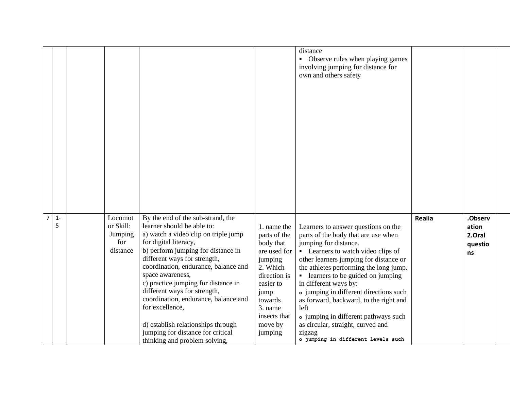|                |            |                                                    |                                                                                                                                                                                                                                                                                                                                                                                                                                                                                                                  |                                                                                                                                                                                  | distance<br>• Observe rules when playing games<br>involving jumping for distance for<br>own and others safety                                                                                                                                                                                                                                                                                                                                                                                                         |        |                                             |
|----------------|------------|----------------------------------------------------|------------------------------------------------------------------------------------------------------------------------------------------------------------------------------------------------------------------------------------------------------------------------------------------------------------------------------------------------------------------------------------------------------------------------------------------------------------------------------------------------------------------|----------------------------------------------------------------------------------------------------------------------------------------------------------------------------------|-----------------------------------------------------------------------------------------------------------------------------------------------------------------------------------------------------------------------------------------------------------------------------------------------------------------------------------------------------------------------------------------------------------------------------------------------------------------------------------------------------------------------|--------|---------------------------------------------|
| $\overline{7}$ | $1 -$<br>5 | Locomot<br>or Skill:<br>Jumping<br>for<br>distance | By the end of the sub-strand, the<br>learner should be able to:<br>a) watch a video clip on triple jump<br>for digital literacy,<br>b) perform jumping for distance in<br>different ways for strength,<br>coordination, endurance, balance and<br>space awareness,<br>c) practice jumping for distance in<br>different ways for strength,<br>coordination, endurance, balance and<br>for excellence,<br>d) establish relationships through<br>jumping for distance for critical<br>thinking and problem solving, | 1. name the<br>parts of the<br>body that<br>are used for<br>jumping<br>2. Which<br>direction is<br>easier to<br>jump<br>towards<br>3. name<br>insects that<br>move by<br>jumping | Learners to answer questions on the<br>parts of the body that are use when<br>jumping for distance.<br>• Learners to watch video clips of<br>other learners jumping for distance or<br>the athletes performing the long jump.<br>• learners to be guided on jumping<br>in different ways by:<br>• jumping in different directions such<br>as forward, backward, to the right and<br>left<br>• jumping in different pathways such<br>as circular, straight, curved and<br>zigzag<br>o jumping in different levels such | Realia | .Observ<br>ation<br>2.Oral<br>questio<br>ns |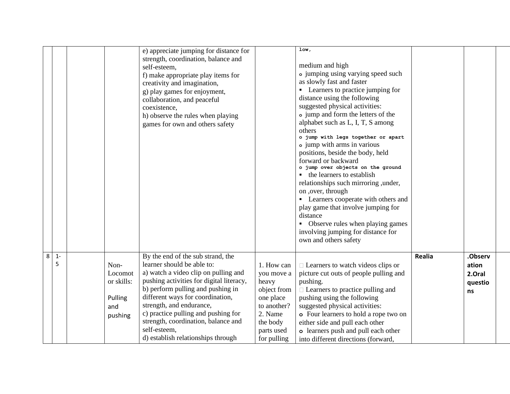|   |            |                                                            | e) appreciate jumping for distance for<br>strength, coordination, balance and<br>self-esteem,<br>f) make appropriate play items for<br>creativity and imagination,<br>g) play games for enjoyment,<br>collaboration, and peaceful<br>coexistence,<br>h) observe the rules when playing<br>games for own and others safety                                                                    |                                                                                                                                  | $1$ ow,<br>medium and high<br>• jumping using varying speed such<br>as slowly fast and faster<br>• Learners to practice jumping for<br>distance using the following<br>suggested physical activities:<br>• jump and form the letters of the<br>alphabet such as L, I, T, S among<br>others<br>o jump with legs together or apart<br>• jump with arms in various<br>positions, beside the body, held<br>forward or backward<br>o jump over objects on the ground<br>the learners to establish<br>relationships such mirroring , under,<br>on ,over, through<br>• Learners cooperate with others and<br>play game that involve jumping for<br>distance<br>• Observe rules when playing games<br>involving jumping for distance for<br>own and others safety |        |                                             |  |
|---|------------|------------------------------------------------------------|----------------------------------------------------------------------------------------------------------------------------------------------------------------------------------------------------------------------------------------------------------------------------------------------------------------------------------------------------------------------------------------------|----------------------------------------------------------------------------------------------------------------------------------|-----------------------------------------------------------------------------------------------------------------------------------------------------------------------------------------------------------------------------------------------------------------------------------------------------------------------------------------------------------------------------------------------------------------------------------------------------------------------------------------------------------------------------------------------------------------------------------------------------------------------------------------------------------------------------------------------------------------------------------------------------------|--------|---------------------------------------------|--|
| 8 | $1 -$<br>5 | Non-<br>Locomot<br>or skills:<br>Pulling<br>and<br>pushing | By the end of the sub strand, the<br>learner should be able to:<br>a) watch a video clip on pulling and<br>pushing activities for digital literacy,<br>b) perform pulling and pushing in<br>different ways for coordination,<br>strength, and endurance,<br>c) practice pulling and pushing for<br>strength, coordination, balance and<br>self-esteem,<br>d) establish relationships through | 1. How can<br>you move a<br>heavy<br>object from<br>one place<br>to another?<br>2. Name<br>the body<br>parts used<br>for pulling | $\Box$ Learners to watch videos clips or<br>picture cut outs of people pulling and<br>pushing.<br>$\Box$ Learners to practice pulling and<br>pushing using the following<br>suggested physical activities:<br>o Four learners to hold a rope two on<br>either side and pull each other<br>o learners push and pull each other<br>into different directions (forward,                                                                                                                                                                                                                                                                                                                                                                                      | Realia | .Observ<br>ation<br>2.Oral<br>questio<br>ns |  |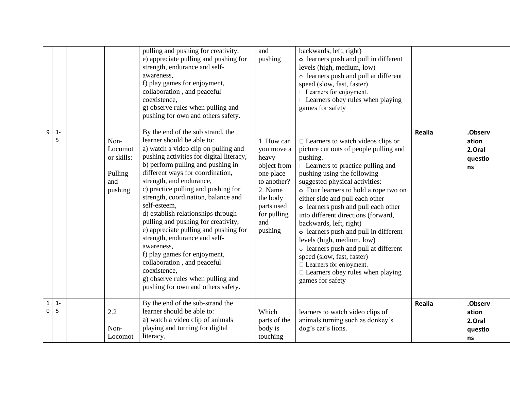|                  |            |                                                            | pulling and pushing for creativity,<br>e) appreciate pulling and pushing for<br>strength, endurance and self-<br>awareness,<br>f) play games for enjoyment,<br>collaboration, and peaceful<br>coexistence,<br>g) observe rules when pulling and<br>pushing for own and others safety.                                                                                                                                                                                                                                                                                                                                                                                                 | and<br>pushing                                                                                                                                     | backwards, left, right)<br>o learners push and pull in different<br>levels (high, medium, low)<br>o learners push and pull at different<br>speed (slow, fast, faster)<br>$\Box$ Learners for enjoyment.<br>$\Box$ Learners obey rules when playing<br>games for safety                                                                                                                                                                                                                                                                                                                                                                    |               |                                             |
|------------------|------------|------------------------------------------------------------|---------------------------------------------------------------------------------------------------------------------------------------------------------------------------------------------------------------------------------------------------------------------------------------------------------------------------------------------------------------------------------------------------------------------------------------------------------------------------------------------------------------------------------------------------------------------------------------------------------------------------------------------------------------------------------------|----------------------------------------------------------------------------------------------------------------------------------------------------|-------------------------------------------------------------------------------------------------------------------------------------------------------------------------------------------------------------------------------------------------------------------------------------------------------------------------------------------------------------------------------------------------------------------------------------------------------------------------------------------------------------------------------------------------------------------------------------------------------------------------------------------|---------------|---------------------------------------------|
| 9                | $1 -$<br>5 | Non-<br>Locomot<br>or skills:<br>Pulling<br>and<br>pushing | By the end of the sub strand, the<br>learner should be able to:<br>a) watch a video clip on pulling and<br>pushing activities for digital literacy,<br>b) perform pulling and pushing in<br>different ways for coordination,<br>strength, and endurance,<br>c) practice pulling and pushing for<br>strength, coordination, balance and<br>self-esteem,<br>d) establish relationships through<br>pulling and pushing for creativity,<br>e) appreciate pulling and pushing for<br>strength, endurance and self-<br>awareness,<br>f) play games for enjoyment,<br>collaboration, and peaceful<br>coexistence,<br>g) observe rules when pulling and<br>pushing for own and others safety. | 1. How can<br>you move a<br>heavy<br>object from<br>one place<br>to another?<br>2. Name<br>the body<br>parts used<br>for pulling<br>and<br>pushing | $\Box$ Learners to watch videos clips or<br>picture cut outs of people pulling and<br>pushing.<br>□ Learners to practice pulling and<br>pushing using the following<br>suggested physical activities:<br>o Four learners to hold a rope two on<br>either side and pull each other<br>o learners push and pull each other<br>into different directions (forward,<br>backwards, left, right)<br>o learners push and pull in different<br>levels (high, medium, low)<br>o learners push and pull at different<br>speed (slow, fast, faster)<br>$\Box$ Learners for enjoyment.<br>$\Box$ Learners obey rules when playing<br>games for safety | <b>Realia</b> | .Observ<br>ation<br>2.Oral<br>questio<br>ns |
| $\mathbf 1$<br>0 | $1 -$<br>5 | 2.2<br>Non-<br>Locomot                                     | By the end of the sub-strand the<br>learner should be able to:<br>a) watch a video clip of animals<br>playing and turning for digital<br>literacy,                                                                                                                                                                                                                                                                                                                                                                                                                                                                                                                                    | Which<br>parts of the<br>body is<br>touching                                                                                                       | learners to watch video clips of<br>animals turning such as donkey's<br>dog's cat's lions.                                                                                                                                                                                                                                                                                                                                                                                                                                                                                                                                                | <b>Realia</b> | .Observ<br>ation<br>2.Oral<br>questio<br>ns |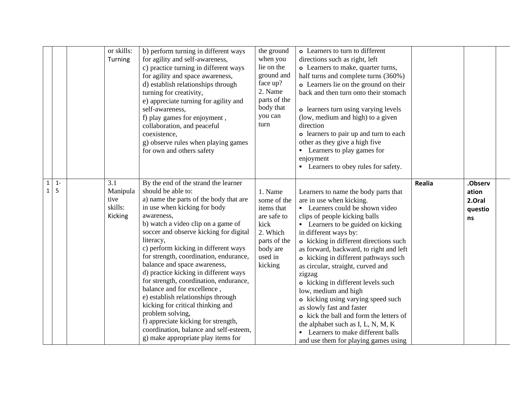|                              |            | or skills:<br>Turning                                | b) perform turning in different ways<br>for agility and self-awareness,<br>c) practice turning in different ways<br>for agility and space awareness,<br>d) establish relationships through<br>turning for creativity,<br>e) appreciate turning for agility and<br>self-awareness,<br>f) play games for enjoyment,<br>collaboration, and peaceful<br>coexistence,<br>g) observe rules when playing games<br>for own and others safety                                                                                                                                                                                                                                                                      | the ground<br>when you<br>lie on the<br>ground and<br>face up?<br>2. Name<br>parts of the<br>body that<br>you can<br>turn | o Learners to turn to different<br>directions such as right, left<br>o Learners to make, quarter turns,<br>half turns and complete turns (360%)<br>o Learners lie on the ground on their<br>back and then turn onto their stomach<br>o learners turn using varying levels<br>(low, medium and high) to a given<br>direction<br>o learners to pair up and turn to each<br>other as they give a high five<br>• Learners to play games for<br>enjoyment<br>• Learners to obey rules for safety.                                                                                                                                                                                    |        |                                             |  |
|------------------------------|------------|------------------------------------------------------|-----------------------------------------------------------------------------------------------------------------------------------------------------------------------------------------------------------------------------------------------------------------------------------------------------------------------------------------------------------------------------------------------------------------------------------------------------------------------------------------------------------------------------------------------------------------------------------------------------------------------------------------------------------------------------------------------------------|---------------------------------------------------------------------------------------------------------------------------|---------------------------------------------------------------------------------------------------------------------------------------------------------------------------------------------------------------------------------------------------------------------------------------------------------------------------------------------------------------------------------------------------------------------------------------------------------------------------------------------------------------------------------------------------------------------------------------------------------------------------------------------------------------------------------|--------|---------------------------------------------|--|
| $\mathbf{1}$<br>$\mathbf{1}$ | $1 -$<br>5 | 3.1<br>Manipula<br>tive<br>skills:<br><b>Kicking</b> | By the end of the strand the learner<br>should be able to:<br>a) name the parts of the body that are<br>in use when kicking for body<br>awareness,<br>b) watch a video clip on a game of<br>soccer and observe kicking for digital<br>literacy,<br>c) perform kicking in different ways<br>for strength, coordination, endurance,<br>balance and space awareness,<br>d) practice kicking in different ways<br>for strength, coordination, endurance,<br>balance and for excellence,<br>e) establish relationships through<br>kicking for critical thinking and<br>problem solving,<br>f) appreciate kicking for strength,<br>coordination, balance and self-esteem,<br>g) make appropriate play items for | 1. Name<br>some of the<br>items that<br>are safe to<br>kick<br>2. Which<br>parts of the<br>body are<br>used in<br>kicking | Learners to name the body parts that<br>are in use when kicking.<br>• Learners could be shown video<br>clips of people kicking balls<br>• Learners to be guided on kicking<br>in different ways by:<br>o kicking in different directions such<br>as forward, backward, to right and left<br>o kicking in different pathways such<br>as circular, straight, curved and<br>zigzag<br>o kicking in different levels such<br>low, medium and high<br>o kicking using varying speed such<br>as slowly fast and faster<br>o kick the ball and form the letters of<br>the alphabet such as I, L, N, M, K<br>• Learners to make different balls<br>and use them for playing games using | Realia | .Observ<br>ation<br>2.Oral<br>questio<br>ns |  |